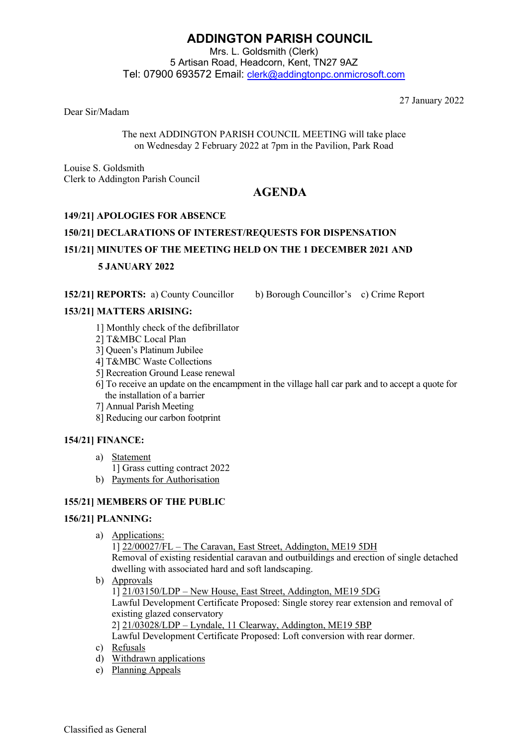# **ADDINGTON PARISH COUNCIL**

Mrs. L. Goldsmith (Clerk) 5 Artisan Road, Headcorn, Kent, TN27 9AZ Tel: 07900 693572 Email: [clerk@addingtonpc.onmicrosoft.com](about:blank)

Dear Sir/Madam

27 January 2022

The next ADDINGTON PARISH COUNCIL MEETING will take place on Wednesday 2 February 2022 at 7pm in the Pavilion, Park Road

Louise S. Goldsmith Clerk to Addington Parish Council

# **AGENDA**

## **149/21] APOLOGIES FOR ABSENCE**

# **150/21] DECLARATIONS OF INTEREST/REQUESTS FOR DISPENSATION 151/21] MINUTES OF THE MEETING HELD ON THE 1 DECEMBER 2021 AND 5 JANUARY 2022**

**152/21] REPORTS:** a) County Councillor b) Borough Councillor's c) Crime Report

## **153/21] MATTERS ARISING:**

- 1] Monthly check of the defibrillator
- 2] T&MBC Local Plan
- 3] Queen's Platinum Jubilee
- 4] T&MBC Waste Collections
- 5] Recreation Ground Lease renewal
- 6] To receive an update on the encampment in the village hall car park and to accept a quote for the installation of a barrier
- 7] Annual Parish Meeting
- 8] Reducing our carbon footprint

## **154/21] FINANCE:**

- a) Statement
	- 1] Grass cutting contract 2022
- b) Payments for Authorisation

## **155/21] MEMBERS OF THE PUBLIC**

## **156/21] PLANNING:**

a) Applications:

1] 22/00027/FL – The Caravan, East Street, Addington, ME19 5DH Removal of existing residential caravan and outbuildings and erection of single detached dwelling with associated hard and soft landscaping.

- b) Approvals 1] 21/03150/LDP – New House, East Street, Addington, ME19 5DG Lawful Development Certificate Proposed: Single storey rear extension and removal of existing glazed conservatory 2] 21/03028/LDP – Lyndale, 11 Clearway, Addington, ME19 5BP Lawful Development Certificate Proposed: Loft conversion with rear dormer.
- c) Refusals
- d) Withdrawn applications
- e) Planning Appeals